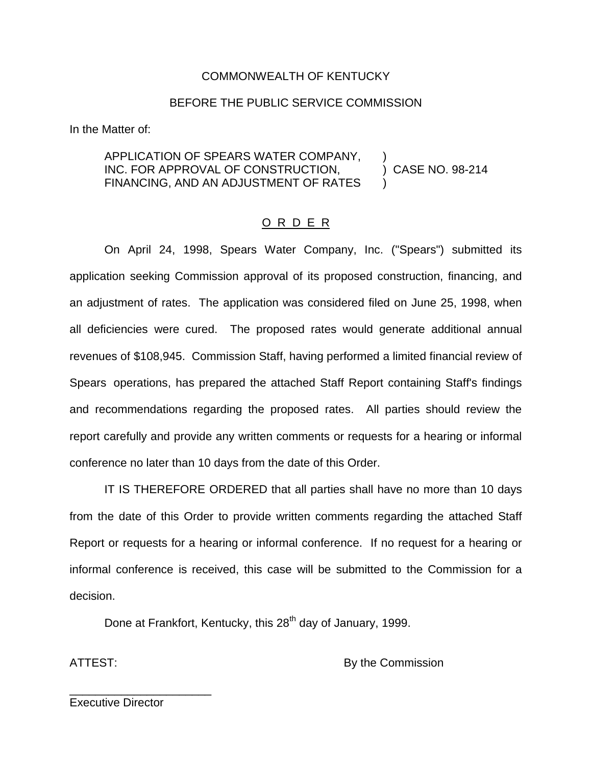#### COMMONWEALTH OF KENTUCKY

#### BEFORE THE PUBLIC SERVICE COMMISSION

In the Matter of:

#### APPLICATION OF SPEARS WATER COMPANY, ) INC. FOR APPROVAL OF CONSTRUCTION, ) CASE NO. 98-214 FINANCING, AND AN ADJUSTMENT OF RATES

## O R D E R

On April 24, 1998, Spears Water Company, Inc. ("Spears") submitted its application seeking Commission approval of its proposed construction, financing, and an adjustment of rates. The application was considered filed on June 25, 1998, when all deficiencies were cured. The proposed rates would generate additional annual revenues of \$108,945. Commission Staff, having performed a limited financial review of Spears operations, has prepared the attached Staff Report containing Staff's findings and recommendations regarding the proposed rates. All parties should review the report carefully and provide any written comments or requests for a hearing or informal conference no later than 10 days from the date of this Order.

IT IS THEREFORE ORDERED that all parties shall have no more than 10 days from the date of this Order to provide written comments regarding the attached Staff Report or requests for a hearing or informal conference. If no request for a hearing or informal conference is received, this case will be submitted to the Commission for a decision.

Done at Frankfort, Kentucky, this 28<sup>th</sup> day of January, 1999.

ATTEST: By the Commission

Executive Director

\_\_\_\_\_\_\_\_\_\_\_\_\_\_\_\_\_\_\_\_\_\_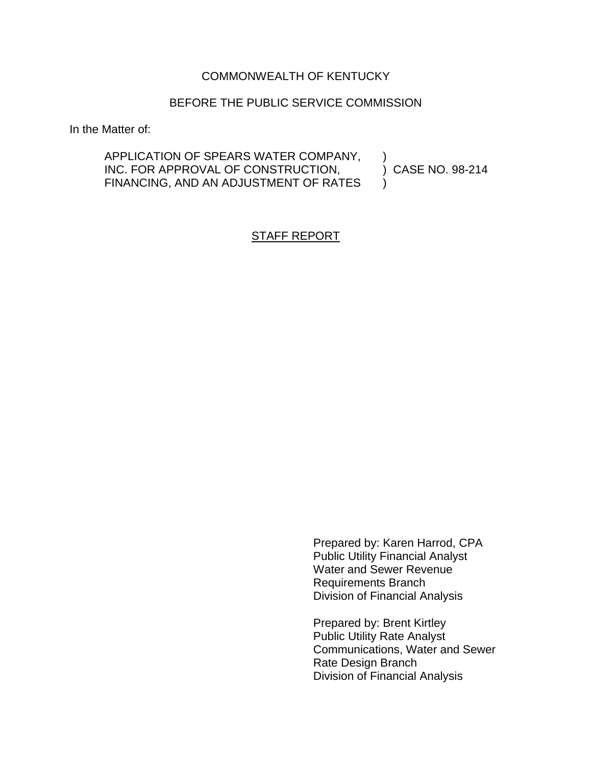## COMMONWEALTH OF KENTUCKY

#### BEFORE THE PUBLIC SERVICE COMMISSION

In the Matter of:

APPLICATION OF SPEARS WATER COMPANY, INC. FOR APPROVAL OF CONSTRUCTION,  $\qquad$  ) CASE NO. 98-214 FINANCING, AND AN ADJUSTMENT OF RATES

## STAFF REPORT

Prepared by: Karen Harrod, CPA Public Utility Financial Analyst Water and Sewer Revenue Requirements Branch Division of Financial Analysis

Prepared by: Brent Kirtley Public Utility Rate Analyst Communications, Water and Sewer Rate Design Branch Division of Financial Analysis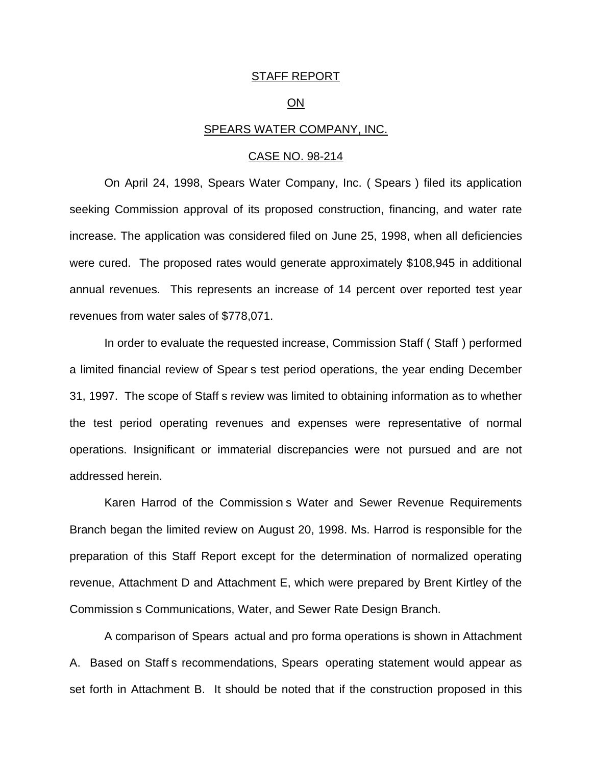#### STAFF REPORT

#### ON

#### SPEARS WATER COMPANY, INC.

#### CASE NO. 98-214

On April 24, 1998, Spears Water Company, Inc. ( Spears ) filed its application seeking Commission approval of its proposed construction, financing, and water rate increase. The application was considered filed on June 25, 1998, when all deficiencies were cured. The proposed rates would generate approximately \$108,945 in additional annual revenues. This represents an increase of 14 percent over reported test year revenues from water sales of \$778,071.

In order to evaluate the requested increase, Commission Staff ( Staff ) performed a limited financial review of Spear s test period operations, the year ending December 31, 1997. The scope of Staff s review was limited to obtaining information as to whether the test period operating revenues and expenses were representative of normal operations. Insignificant or immaterial discrepancies were not pursued and are not addressed herein.

Karen Harrod of the Commission s Water and Sewer Revenue Requirements Branch began the limited review on August 20, 1998. Ms. Harrod is responsible for the preparation of this Staff Report except for the determination of normalized operating revenue, Attachment D and Attachment E, which were prepared by Brent Kirtley of the Commission s Communications, Water, and Sewer Rate Design Branch.

A comparison of Spears actual and pro forma operations is shown in Attachment A. Based on Staff s recommendations, Spears operating statement would appear as set forth in Attachment B. It should be noted that if the construction proposed in this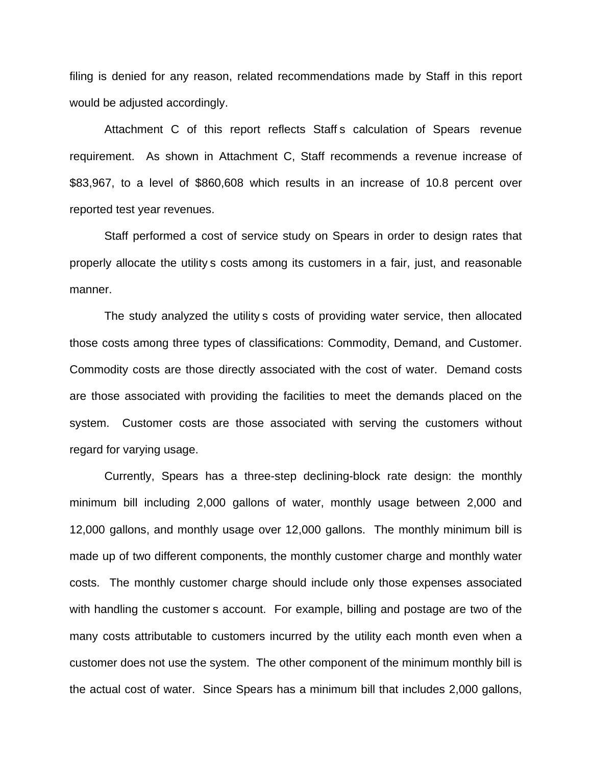filing is denied for any reason, related recommendations made by Staff in this report would be adjusted accordingly.

Attachment C of this report reflects Staff s calculation of Spears revenue requirement. As shown in Attachment C, Staff recommends a revenue increase of \$83,967, to a level of \$860,608 which results in an increase of 10.8 percent over reported test year revenues.

Staff performed a cost of service study on Spears in order to design rates that properly allocate the utility s costs among its customers in a fair, just, and reasonable manner.

The study analyzed the utility s costs of providing water service, then allocated those costs among three types of classifications: Commodity, Demand, and Customer. Commodity costs are those directly associated with the cost of water. Demand costs are those associated with providing the facilities to meet the demands placed on the system. Customer costs are those associated with serving the customers without regard for varying usage.

Currently, Spears has a three-step declining-block rate design: the monthly minimum bill including 2,000 gallons of water, monthly usage between 2,000 and 12,000 gallons, and monthly usage over 12,000 gallons. The monthly minimum bill is made up of two different components, the monthly customer charge and monthly water costs. The monthly customer charge should include only those expenses associated with handling the customer s account. For example, billing and postage are two of the many costs attributable to customers incurred by the utility each month even when a customer does not use the system. The other component of the minimum monthly bill is the actual cost of water. Since Spears has a minimum bill that includes 2,000 gallons,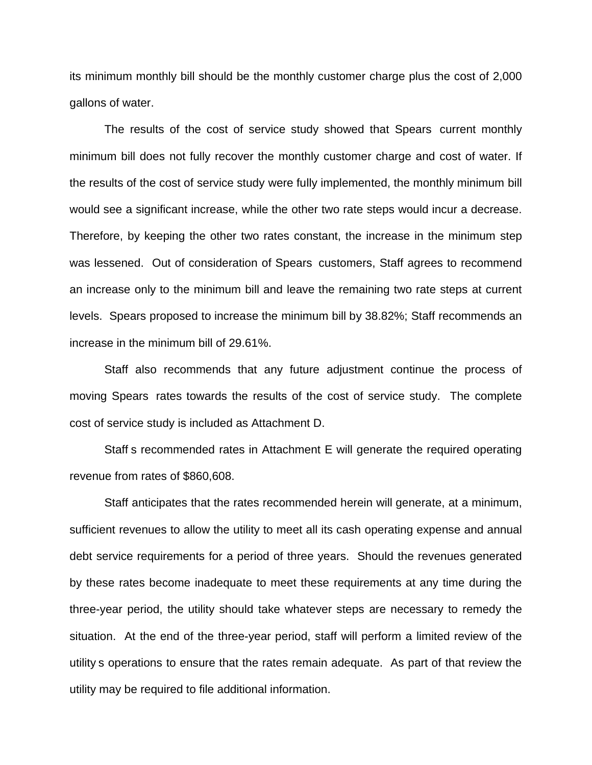its minimum monthly bill should be the monthly customer charge plus the cost of 2,000 gallons of water.

The results of the cost of service study showed that Spears current monthly minimum bill does not fully recover the monthly customer charge and cost of water. If the results of the cost of service study were fully implemented, the monthly minimum bill would see a significant increase, while the other two rate steps would incur a decrease. Therefore, by keeping the other two rates constant, the increase in the minimum step was lessened. Out of consideration of Spears customers, Staff agrees to recommend an increase only to the minimum bill and leave the remaining two rate steps at current levels. Spears proposed to increase the minimum bill by 38.82%; Staff recommends an increase in the minimum bill of 29.61%.

Staff also recommends that any future adjustment continue the process of moving Spears rates towards the results of the cost of service study. The complete cost of service study is included as Attachment D.

Staff s recommended rates in Attachment E will generate the required operating revenue from rates of \$860,608.

Staff anticipates that the rates recommended herein will generate, at a minimum, sufficient revenues to allow the utility to meet all its cash operating expense and annual debt service requirements for a period of three years. Should the revenues generated by these rates become inadequate to meet these requirements at any time during the three-year period, the utility should take whatever steps are necessary to remedy the situation. At the end of the three-year period, staff will perform a limited review of the utility s operations to ensure that the rates remain adequate. As part of that review the utility may be required to file additional information.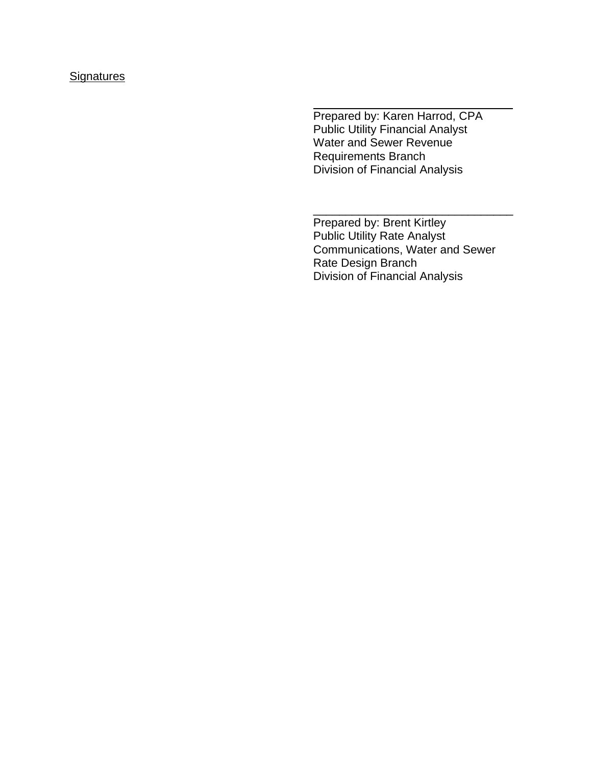# **Signatures**

Prepared by: Karen Harrod, CPA Public Utility Financial Analyst Water and Sewer Revenue Requirements Branch Division of Financial Analysis

Prepared by: Brent Kirtley Public Utility Rate Analyst Communications, Water and Sewer Rate Design Branch Division of Financial Analysis

\_\_\_\_\_\_\_\_\_\_\_\_\_\_\_\_\_\_\_\_\_\_\_\_\_\_\_\_\_\_\_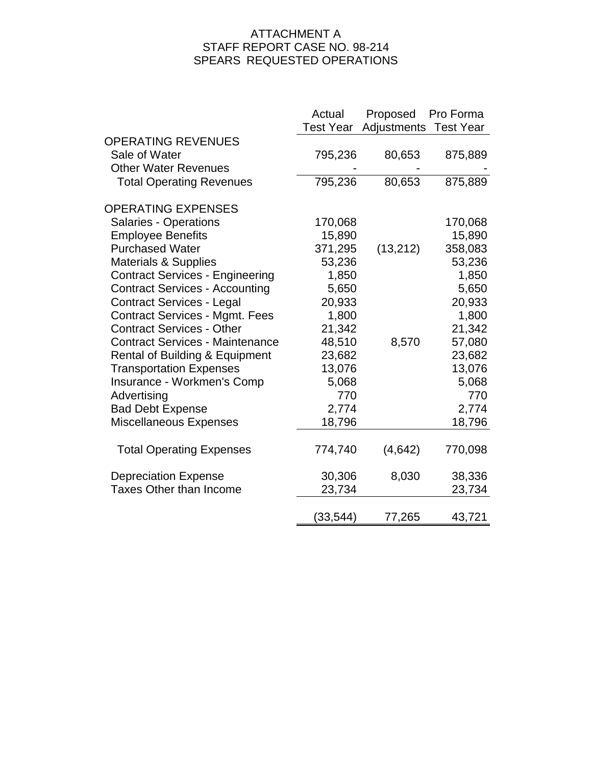# ATTACHMENT A STAFF REPORT CASE NO. 98-214 SPEARS REQUESTED OPERATIONS

|                                           | Actual<br>Test Year | Proposed<br>Adjustments | Pro Forma<br><b>Test Year</b> |
|-------------------------------------------|---------------------|-------------------------|-------------------------------|
| <b>OPERATING REVENUES</b>                 |                     |                         |                               |
| Sale of Water                             | 795,236             | 80,653                  | 875,889                       |
| <b>Other Water Revenues</b>               |                     |                         |                               |
| <b>Total Operating Revenues</b>           | 795,236             | 80,653                  | 875,889                       |
|                                           |                     |                         |                               |
| <b>OPERATING EXPENSES</b>                 |                     |                         |                               |
| <b>Salaries - Operations</b>              | 170,068             |                         | 170,068                       |
| <b>Employee Benefits</b>                  | 15,890              |                         | 15,890                        |
| <b>Purchased Water</b>                    | 371,295             | (13, 212)               | 358,083                       |
| <b>Materials &amp; Supplies</b>           | 53,236              |                         | 53,236                        |
| <b>Contract Services - Engineering</b>    | 1,850               |                         | 1,850                         |
| <b>Contract Services - Accounting</b>     | 5,650               |                         | 5,650                         |
| <b>Contract Services - Legal</b>          | 20,933              |                         | 20,933                        |
| <b>Contract Services - Mgmt. Fees</b>     | 1,800               |                         | 1,800                         |
| <b>Contract Services - Other</b>          | 21,342              |                         | 21,342                        |
| <b>Contract Services - Maintenance</b>    | 48,510              | 8,570                   | 57,080                        |
| <b>Rental of Building &amp; Equipment</b> | 23,682              |                         | 23,682                        |
| <b>Transportation Expenses</b>            | 13,076              |                         | 13,076                        |
| Insurance - Workmen's Comp                | 5,068               |                         | 5,068                         |
| Advertising                               | 770                 |                         | 770                           |
| <b>Bad Debt Expense</b>                   | 2,774               |                         | 2,774                         |
| Miscellaneous Expenses                    | 18,796              |                         | 18,796                        |
| <b>Total Operating Expenses</b>           | 774,740             | (4,642)                 | 770,098                       |
|                                           |                     |                         |                               |
| <b>Depreciation Expense</b>               | 30,306              | 8,030                   | 38,336                        |
| <b>Taxes Other than Income</b>            | 23,734              |                         | 23,734                        |
|                                           | (33,544)            | 77,265                  | 43,721                        |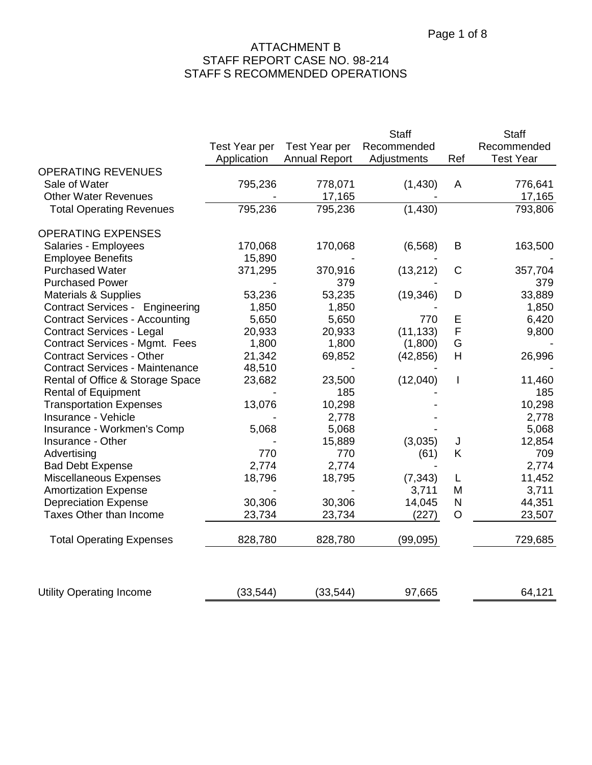|                                        |               |                      | <b>Staff</b> |                          | <b>Staff</b>     |
|----------------------------------------|---------------|----------------------|--------------|--------------------------|------------------|
|                                        | Test Year per | Test Year per        | Recommended  |                          | Recommended      |
|                                        | Application   | <b>Annual Report</b> | Adjustments  | Ref                      | <b>Test Year</b> |
| <b>OPERATING REVENUES</b>              |               |                      |              |                          |                  |
| Sale of Water                          | 795,236       | 778,071              | (1,430)      | A                        | 776,641          |
| <b>Other Water Revenues</b>            |               | 17,165               |              |                          | 17,165           |
| <b>Total Operating Revenues</b>        | 795,236       | 795,236              | (1,430)      |                          | 793,806          |
| <b>OPERATING EXPENSES</b>              |               |                      |              |                          |                  |
| Salaries - Employees                   | 170,068       | 170,068              | (6, 568)     | B                        | 163,500          |
| <b>Employee Benefits</b>               | 15,890        |                      |              |                          |                  |
| <b>Purchased Water</b>                 | 371,295       | 370,916              | (13,212)     | $\mathsf C$              | 357,704          |
| <b>Purchased Power</b>                 |               | 379                  |              |                          | 379              |
| <b>Materials &amp; Supplies</b>        | 53,236        | 53,235               | (19, 346)    | D                        | 33,889           |
| <b>Contract Services - Engineering</b> | 1,850         | 1,850                |              |                          | 1,850            |
| <b>Contract Services - Accounting</b>  | 5,650         | 5,650                | 770          | Ε                        | 6,420            |
| <b>Contract Services - Legal</b>       | 20,933        | 20,933               | (11, 133)    | F                        | 9,800            |
| <b>Contract Services - Mgmt. Fees</b>  | 1,800         | 1,800                | (1,800)      | G                        |                  |
| <b>Contract Services - Other</b>       | 21,342        | 69,852               | (42, 856)    | H                        | 26,996           |
| <b>Contract Services - Maintenance</b> | 48,510        |                      |              |                          |                  |
| Rental of Office & Storage Space       | 23,682        | 23,500               | (12,040)     | $\overline{\phantom{a}}$ | 11,460           |
| <b>Rental of Equipment</b>             |               | 185                  |              |                          | 185              |
| <b>Transportation Expenses</b>         | 13,076        | 10,298               |              |                          | 10,298           |
| Insurance - Vehicle                    |               | 2,778                |              |                          | 2,778            |
| Insurance - Workmen's Comp             | 5,068         | 5,068                |              |                          | 5,068            |
| Insurance - Other                      |               | 15,889               | (3,035)      | J                        | 12,854           |
| Advertising                            | 770           | 770                  | (61)         | Κ                        | 709              |
| <b>Bad Debt Expense</b>                | 2,774         | 2,774                |              |                          | 2,774            |
| <b>Miscellaneous Expenses</b>          | 18,796        | 18,795               | (7, 343)     | L                        | 11,452           |
| <b>Amortization Expense</b>            |               |                      | 3,711        | M                        | 3,711            |
| <b>Depreciation Expense</b>            | 30,306        | 30,306               | 14,045       | $\mathsf{N}$             | 44,351           |
| <b>Taxes Other than Income</b>         | 23,734        | 23,734               | (227)        | O                        | 23,507           |
| <b>Total Operating Expenses</b>        | 828,780       | 828,780              | (99, 095)    |                          | 729,685          |
| <b>Utility Operating Income</b>        | (33, 544)     | (33, 544)            | 97,665       |                          | 64,121           |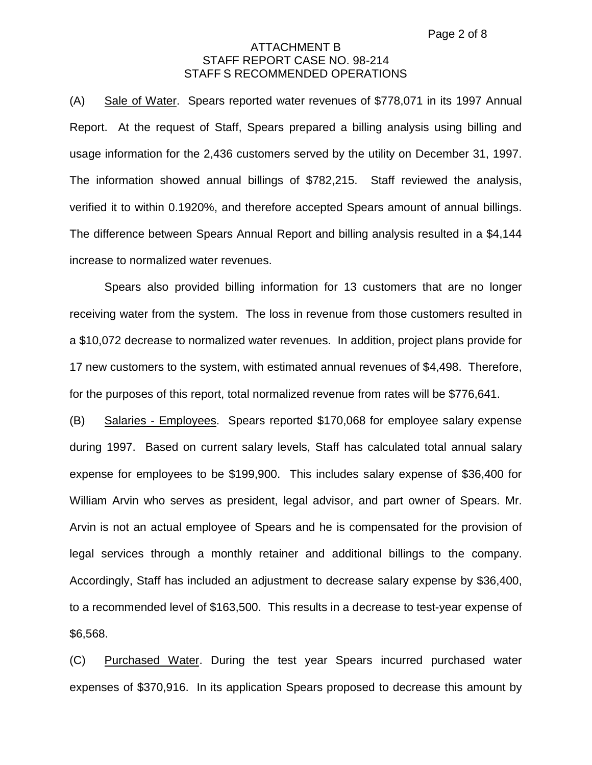(A) Sale of Water. Spears reported water revenues of \$778,071 in its 1997 Annual Report. At the request of Staff, Spears prepared a billing analysis using billing and usage information for the 2,436 customers served by the utility on December 31, 1997. The information showed annual billings of \$782,215. Staff reviewed the analysis, verified it to within 0.1920%, and therefore accepted Spears amount of annual billings. The difference between Spears Annual Report and billing analysis resulted in a \$4,144 increase to normalized water revenues.

Spears also provided billing information for 13 customers that are no longer receiving water from the system. The loss in revenue from those customers resulted in a \$10,072 decrease to normalized water revenues. In addition, project plans provide for 17 new customers to the system, with estimated annual revenues of \$4,498. Therefore, for the purposes of this report, total normalized revenue from rates will be \$776,641.

(B) Salaries - Employees. Spears reported \$170,068 for employee salary expense during 1997. Based on current salary levels, Staff has calculated total annual salary expense for employees to be \$199,900. This includes salary expense of \$36,400 for William Arvin who serves as president, legal advisor, and part owner of Spears. Mr. Arvin is not an actual employee of Spears and he is compensated for the provision of legal services through a monthly retainer and additional billings to the company. Accordingly, Staff has included an adjustment to decrease salary expense by \$36,400, to a recommended level of \$163,500. This results in a decrease to test-year expense of \$6,568.

(C) Purchased Water. During the test year Spears incurred purchased water expenses of \$370,916. In its application Spears proposed to decrease this amount by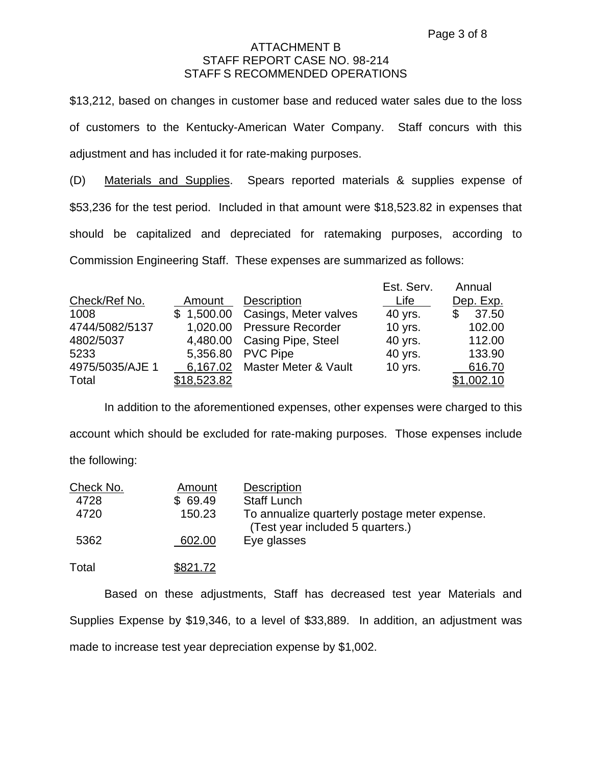\$13,212, based on changes in customer base and reduced water sales due to the loss of customers to the Kentucky-American Water Company. Staff concurs with this adjustment and has included it for rate-making purposes.

(D) Materials and Supplies. Spears reported materials & supplies expense of \$53,236 for the test period. Included in that amount were \$18,523.82 in expenses that should be capitalized and depreciated for ratemaking purposes, according to Commission Engineering Staff. These expenses are summarized as follows:

|                 |             |                                  | Est. Serv. | Annual            |
|-----------------|-------------|----------------------------------|------------|-------------------|
| Check/Ref No.   | Amount      | <b>Description</b>               | Life       | Dep. Exp.         |
| 1008            |             | \$1,500.00 Casings, Meter valves | 40 yrs.    | 37.50<br>\$       |
| 4744/5082/5137  |             | 1,020.00 Pressure Recorder       | 10 yrs.    | 102.00            |
| 4802/5037       |             | 4,480.00 Casing Pipe, Steel      | 40 yrs.    | 112.00            |
| 5233            |             | 5,356.80 PVC Pipe                | 40 yrs.    | 133.90            |
| 4975/5035/AJE 1 |             | 6,167.02 Master Meter & Vault    | 10 yrs.    | 616.70            |
| Total           | \$18,523.82 |                                  |            | <u>\$1,002.10</u> |

In addition to the aforementioned expenses, other expenses were charged to this account which should be excluded for rate-making purposes. Those expenses include the following:

| Check No. | Amount   | <b>Description</b>                                                                |
|-----------|----------|-----------------------------------------------------------------------------------|
| 4728      | \$69.49  | <b>Staff Lunch</b>                                                                |
| 4720      | 150.23   | To annualize quarterly postage meter expense.<br>(Test year included 5 quarters.) |
| 5362      | 602.00   | Eye glasses                                                                       |
| Total     | \$821.72 |                                                                                   |

Based on these adjustments, Staff has decreased test year Materials and Supplies Expense by \$19,346, to a level of \$33,889. In addition, an adjustment was made to increase test year depreciation expense by \$1,002.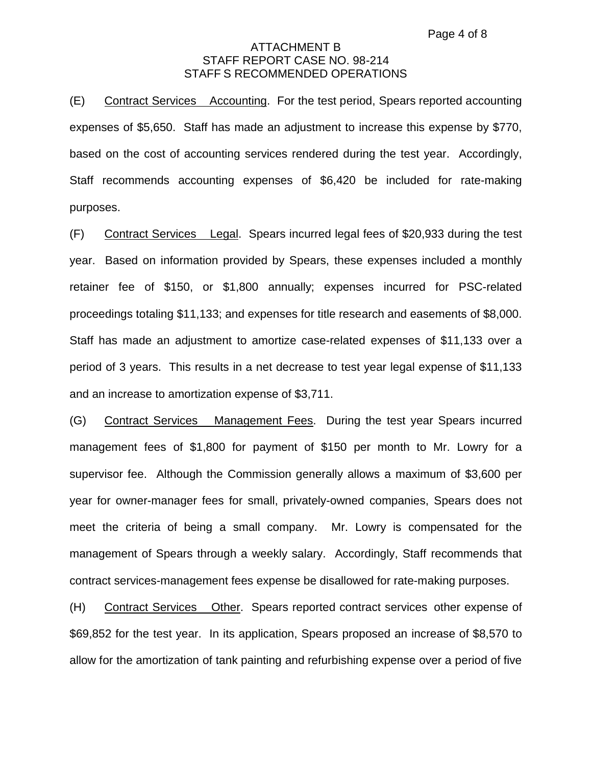(E) Contract Services Accounting. For the test period, Spears reported accounting expenses of \$5,650. Staff has made an adjustment to increase this expense by \$770, based on the cost of accounting services rendered during the test year. Accordingly, Staff recommends accounting expenses of \$6,420 be included for rate-making purposes.

(F) Contract Services Legal. Spears incurred legal fees of \$20,933 during the test year. Based on information provided by Spears, these expenses included a monthly retainer fee of \$150, or \$1,800 annually; expenses incurred for PSC-related proceedings totaling \$11,133; and expenses for title research and easements of \$8,000. Staff has made an adjustment to amortize case-related expenses of \$11,133 over a period of 3 years. This results in a net decrease to test year legal expense of \$11,133 and an increase to amortization expense of \$3,711.

(G) Contract Services Management Fees. During the test year Spears incurred management fees of \$1,800 for payment of \$150 per month to Mr. Lowry for a supervisor fee. Although the Commission generally allows a maximum of \$3,600 per year for owner-manager fees for small, privately-owned companies, Spears does not meet the criteria of being a small company. Mr. Lowry is compensated for the management of Spears through a weekly salary. Accordingly, Staff recommends that contract services-management fees expense be disallowed for rate-making purposes.

(H) Contract Services Other. Spears reported contract services other expense of \$69,852 for the test year. In its application, Spears proposed an increase of \$8,570 to allow for the amortization of tank painting and refurbishing expense over a period of five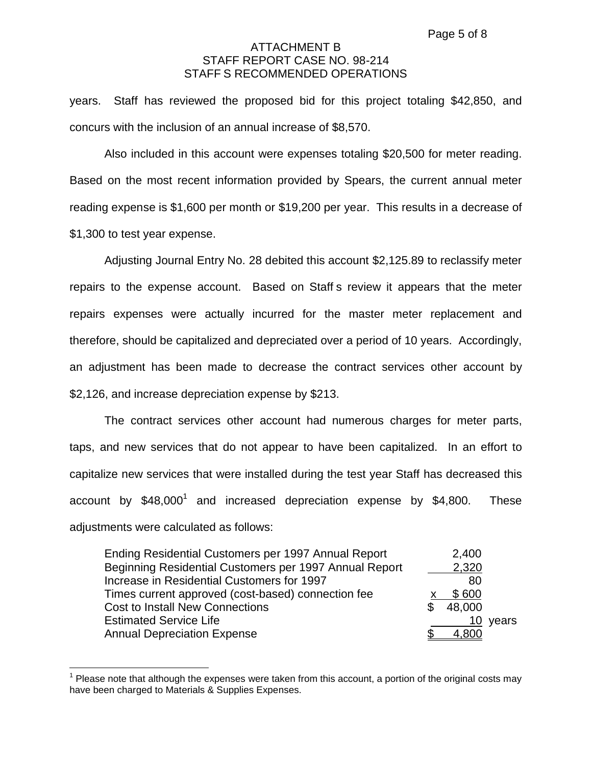years. Staff has reviewed the proposed bid for this project totaling \$42,850, and concurs with the inclusion of an annual increase of \$8,570.

Also included in this account were expenses totaling \$20,500 for meter reading. Based on the most recent information provided by Spears, the current annual meter reading expense is \$1,600 per month or \$19,200 per year. This results in a decrease of \$1,300 to test year expense.

Adjusting Journal Entry No. 28 debited this account \$2,125.89 to reclassify meter repairs to the expense account. Based on Staff s review it appears that the meter repairs expenses were actually incurred for the master meter replacement and therefore, should be capitalized and depreciated over a period of 10 years. Accordingly, an adjustment has been made to decrease the contract services other account by \$2,126, and increase depreciation expense by \$213.

The contract services other account had numerous charges for meter parts, taps, and new services that do not appear to have been capitalized. In an effort to capitalize new services that were installed during the test year Staff has decreased this account by  $$48,000^1$  and increased depreciation expense by  $$4,800$ . These adjustments were calculated as follows:

| Ending Residential Customers per 1997 Annual Report    | 2,400  |          |
|--------------------------------------------------------|--------|----------|
| Beginning Residential Customers per 1997 Annual Report | 2,320  |          |
| Increase in Residential Customers for 1997             | -80    |          |
| Times current approved (cost-based) connection fee     | \$600  |          |
| <b>Cost to Install New Connections</b>                 | 48,000 |          |
| <b>Estimated Service Life</b>                          |        | 10 years |
| <b>Annual Depreciation Expense</b>                     | 4,800  |          |

 $1$  Please note that although the expenses were taken from this account, a portion of the original costs may have been charged to Materials & Supplies Expenses.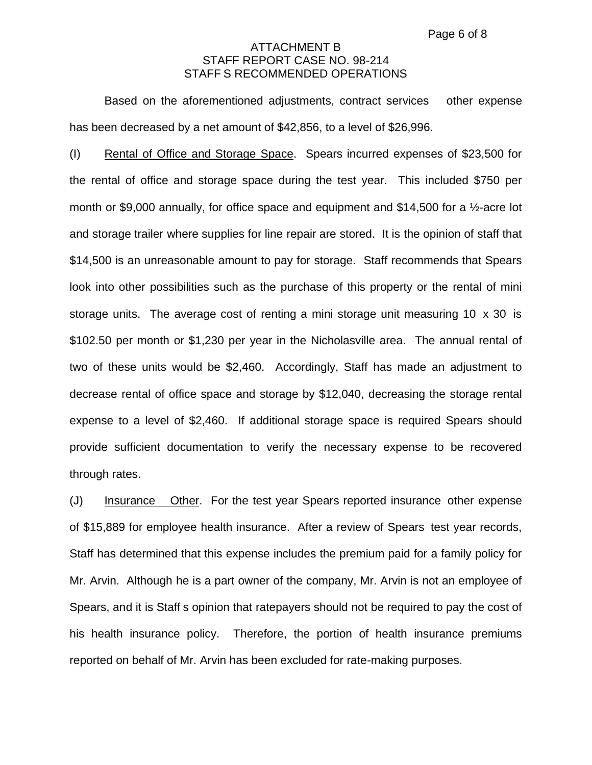Based on the aforementioned adjustments, contract services other expense has been decreased by a net amount of \$42,856, to a level of \$26,996.

(I) Rental of Office and Storage Space. Spears incurred expenses of \$23,500 for the rental of office and storage space during the test year. This included \$750 per month or \$9,000 annually, for office space and equipment and \$14,500 for a ½-acre lot and storage trailer where supplies for line repair are stored. It is the opinion of staff that \$14,500 is an unreasonable amount to pay for storage. Staff recommends that Spears look into other possibilities such as the purchase of this property or the rental of mini storage units. The average cost of renting a mini storage unit measuring 10 x 30 is \$102.50 per month or \$1,230 per year in the Nicholasville area. The annual rental of two of these units would be \$2,460. Accordingly, Staff has made an adjustment to decrease rental of office space and storage by \$12,040, decreasing the storage rental expense to a level of \$2,460. If additional storage space is required Spears should provide sufficient documentation to verify the necessary expense to be recovered through rates.

(J) Insurance Other. For the test year Spears reported insurance other expense of \$15,889 for employee health insurance. After a review of Spears test year records, Staff has determined that this expense includes the premium paid for a family policy for Mr. Arvin. Although he is a part owner of the company, Mr. Arvin is not an employee of Spears, and it is Staff s opinion that ratepayers should not be required to pay the cost of his health insurance policy. Therefore, the portion of health insurance premiums reported on behalf of Mr. Arvin has been excluded for rate-making purposes.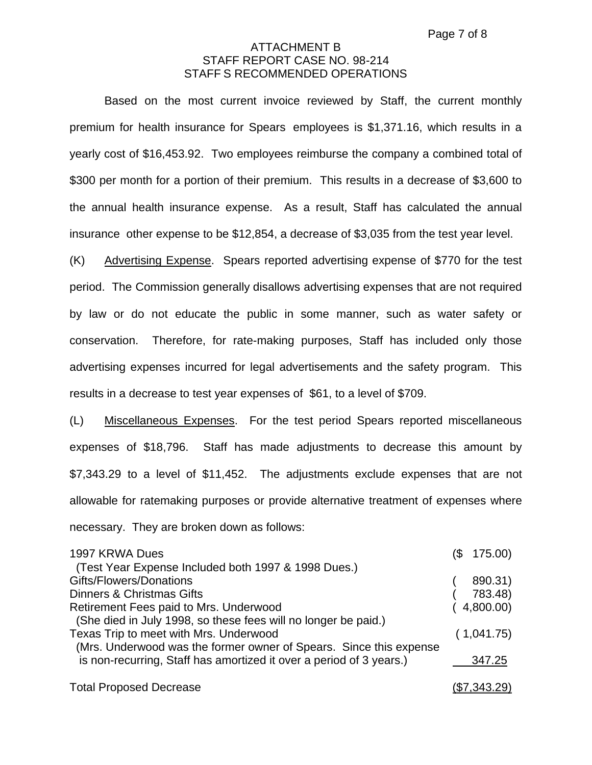Based on the most current invoice reviewed by Staff, the current monthly premium for health insurance for Spears employees is \$1,371.16, which results in a yearly cost of \$16,453.92. Two employees reimburse the company a combined total of \$300 per month for a portion of their premium. This results in a decrease of \$3,600 to the annual health insurance expense. As a result, Staff has calculated the annual insurance other expense to be \$12,854, a decrease of \$3,035 from the test year level.

(K) Advertising Expense. Spears reported advertising expense of \$770 for the test period. The Commission generally disallows advertising expenses that are not required by law or do not educate the public in some manner, such as water safety or conservation. Therefore, for rate-making purposes, Staff has included only those advertising expenses incurred for legal advertisements and the safety program. This results in a decrease to test year expenses of \$61, to a level of \$709.

(L) Miscellaneous Expenses. For the test period Spears reported miscellaneous expenses of \$18,796. Staff has made adjustments to decrease this amount by \$7,343.29 to a level of \$11,452. The adjustments exclude expenses that are not allowable for ratemaking purposes or provide alternative treatment of expenses where necessary. They are broken down as follows:

| 1997 KRWA Dues                                                      | 175.00)<br>1\$ |
|---------------------------------------------------------------------|----------------|
| (Test Year Expense Included both 1997 & 1998 Dues.)                 |                |
| Gifts/Flowers/Donations                                             | 890.31)        |
| Dinners & Christmas Gifts                                           | 783.48)        |
| Retirement Fees paid to Mrs. Underwood                              | (4,800.00)     |
| (She died in July 1998, so these fees will no longer be paid.)      |                |
| Texas Trip to meet with Mrs. Underwood                              | (1,041.75)     |
| (Mrs. Underwood was the former owner of Spears. Since this expense  |                |
| is non-recurring, Staff has amortized it over a period of 3 years.) | 347.25         |
| <b>Total Proposed Decrease</b>                                      | (\$7,343.29)   |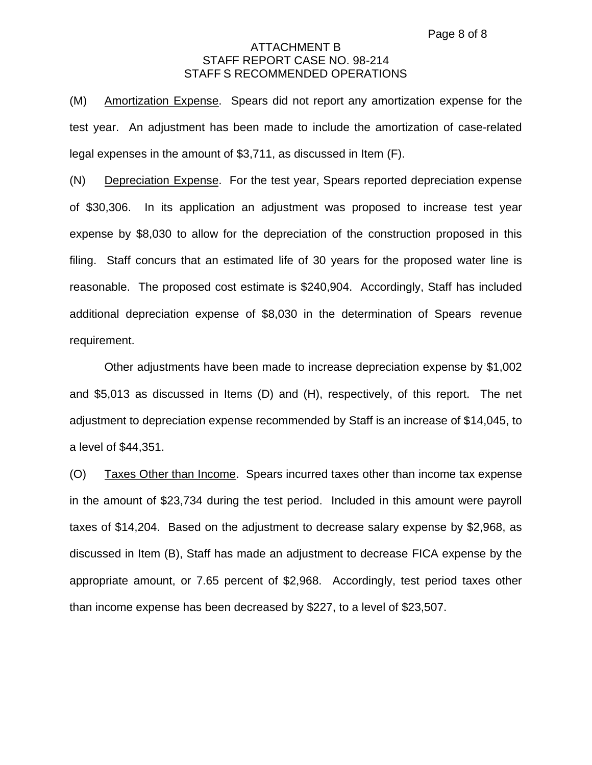(M) Amortization Expense. Spears did not report any amortization expense for the test year. An adjustment has been made to include the amortization of case-related legal expenses in the amount of \$3,711, as discussed in Item (F).

(N) Depreciation Expense. For the test year, Spears reported depreciation expense of \$30,306. In its application an adjustment was proposed to increase test year expense by \$8,030 to allow for the depreciation of the construction proposed in this filing. Staff concurs that an estimated life of 30 years for the proposed water line is reasonable. The proposed cost estimate is \$240,904. Accordingly, Staff has included additional depreciation expense of \$8,030 in the determination of Spears revenue requirement.

Other adjustments have been made to increase depreciation expense by \$1,002 and \$5,013 as discussed in Items (D) and (H), respectively, of this report. The net adjustment to depreciation expense recommended by Staff is an increase of \$14,045, to a level of \$44,351.

(O) Taxes Other than Income. Spears incurred taxes other than income tax expense in the amount of \$23,734 during the test period. Included in this amount were payroll taxes of \$14,204. Based on the adjustment to decrease salary expense by \$2,968, as discussed in Item (B), Staff has made an adjustment to decrease FICA expense by the appropriate amount, or 7.65 percent of \$2,968. Accordingly, test period taxes other than income expense has been decreased by \$227, to a level of \$23,507.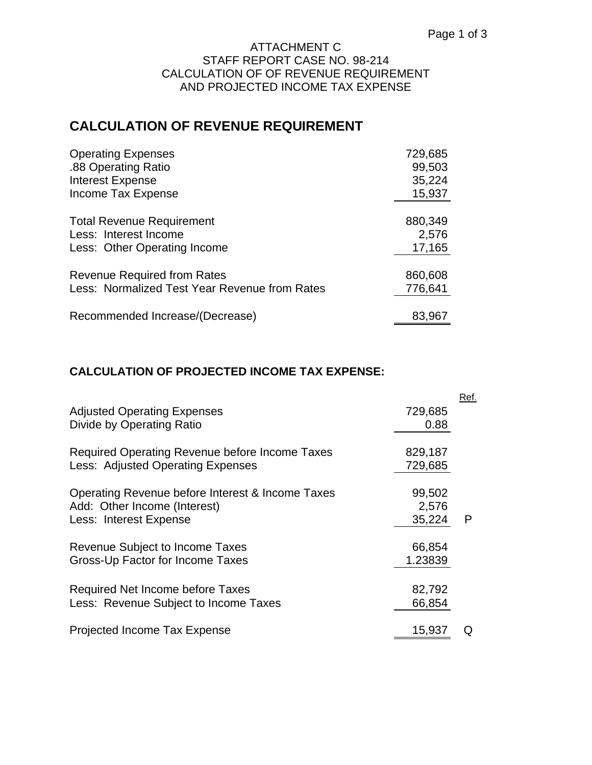### ATTACHMENT C STAFF REPORT CASE NO. 98-214 CALCULATION OF OF REVENUE REQUIREMENT AND PROJECTED INCOME TAX EXPENSE

# **CALCULATION OF REVENUE REQUIREMENT**

| <b>Operating Expenses</b>                     | 729,685 |
|-----------------------------------------------|---------|
| .88 Operating Ratio                           | 99,503  |
| <b>Interest Expense</b>                       | 35,224  |
| Income Tax Expense                            | 15,937  |
| <b>Total Revenue Requirement</b>              | 880,349 |
| Less: Interest Income                         | 2,576   |
| Less: Other Operating Income                  | 17,165  |
| <b>Revenue Required from Rates</b>            | 860,608 |
| Less: Normalized Test Year Revenue from Rates | 776,641 |
| Recommended Increase/(Decrease)               | 83,967  |

## **CALCULATION OF PROJECTED INCOME TAX EXPENSE:**

|                                                                                                            |                           | Ref. |
|------------------------------------------------------------------------------------------------------------|---------------------------|------|
| <b>Adjusted Operating Expenses</b><br>Divide by Operating Ratio                                            | 729,685<br>0.88           |      |
| Required Operating Revenue before Income Taxes<br>Less: Adjusted Operating Expenses                        | 829,187<br>729,685        |      |
| Operating Revenue before Interest & Income Taxes<br>Add: Other Income (Interest)<br>Less: Interest Expense | 99,502<br>2,576<br>35,224 | P    |
| Revenue Subject to Income Taxes<br>Gross-Up Factor for Income Taxes                                        | 66,854<br>1.23839         |      |
| Required Net Income before Taxes<br>Less: Revenue Subject to Income Taxes                                  | 82,792<br>66,854          |      |
| Projected Income Tax Expense                                                                               | 15,937                    |      |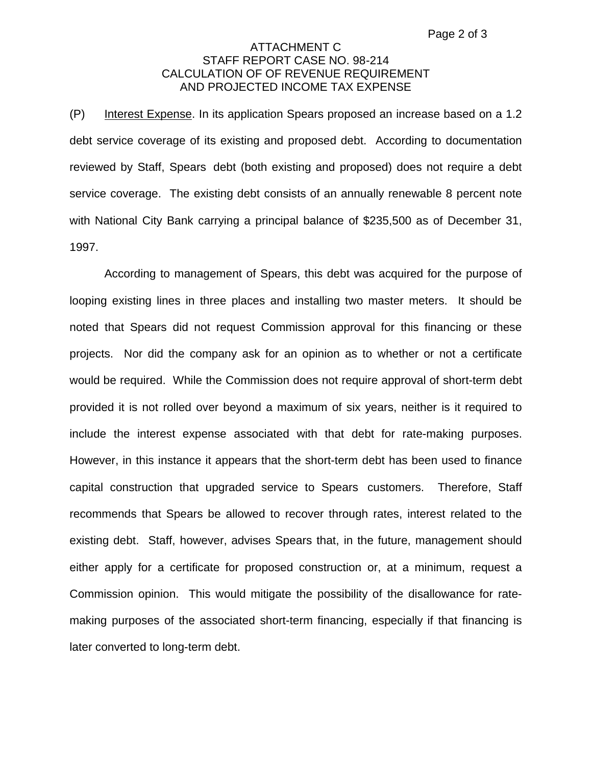### ATTACHMENT C STAFF REPORT CASE NO. 98-214 CALCULATION OF OF REVENUE REQUIREMENT AND PROJECTED INCOME TAX EXPENSE

(P) Interest Expense. In its application Spears proposed an increase based on a 1.2 debt service coverage of its existing and proposed debt. According to documentation reviewed by Staff, Spears debt (both existing and proposed) does not require a debt service coverage. The existing debt consists of an annually renewable 8 percent note with National City Bank carrying a principal balance of \$235,500 as of December 31, 1997.

According to management of Spears, this debt was acquired for the purpose of looping existing lines in three places and installing two master meters. It should be noted that Spears did not request Commission approval for this financing or these projects. Nor did the company ask for an opinion as to whether or not a certificate would be required. While the Commission does not require approval of short-term debt provided it is not rolled over beyond a maximum of six years, neither is it required to include the interest expense associated with that debt for rate-making purposes. However, in this instance it appears that the short-term debt has been used to finance capital construction that upgraded service to Spears customers. Therefore, Staff recommends that Spears be allowed to recover through rates, interest related to the existing debt. Staff, however, advises Spears that, in the future, management should either apply for a certificate for proposed construction or, at a minimum, request a Commission opinion. This would mitigate the possibility of the disallowance for ratemaking purposes of the associated short-term financing, especially if that financing is later converted to long-term debt.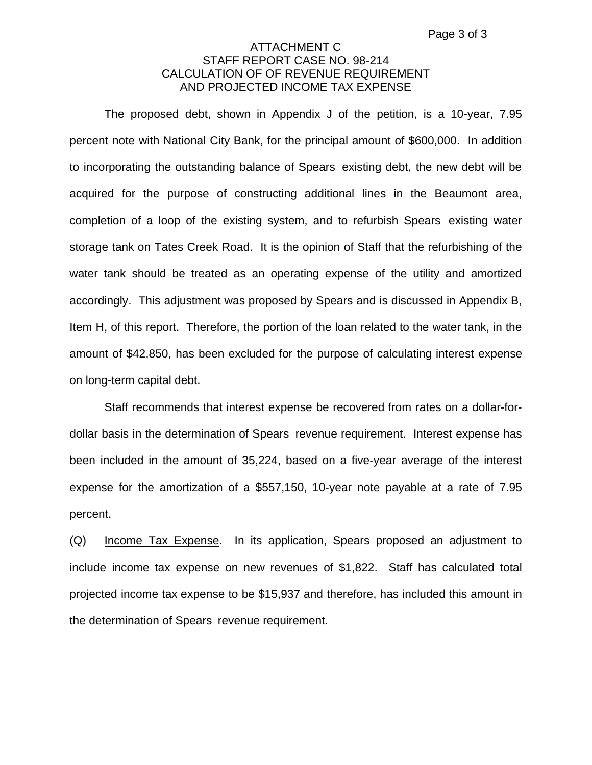## ATTACHMENT C STAFF REPORT CASE NO. 98-214 CALCULATION OF OF REVENUE REQUIREMENT AND PROJECTED INCOME TAX EXPENSE

The proposed debt, shown in Appendix J of the petition, is a 10-year, 7.95 percent note with National City Bank, for the principal amount of \$600,000. In addition to incorporating the outstanding balance of Spears existing debt, the new debt will be acquired for the purpose of constructing additional lines in the Beaumont area, completion of a loop of the existing system, and to refurbish Spears existing water storage tank on Tates Creek Road. It is the opinion of Staff that the refurbishing of the water tank should be treated as an operating expense of the utility and amortized accordingly. This adjustment was proposed by Spears and is discussed in Appendix B, Item H, of this report. Therefore, the portion of the loan related to the water tank, in the amount of \$42,850, has been excluded for the purpose of calculating interest expense on long-term capital debt.

Staff recommends that interest expense be recovered from rates on a dollar-fordollar basis in the determination of Spears revenue requirement. Interest expense has been included in the amount of 35,224, based on a five-year average of the interest expense for the amortization of a \$557,150, 10-year note payable at a rate of 7.95 percent.

(Q) Income Tax Expense. In its application, Spears proposed an adjustment to include income tax expense on new revenues of \$1,822. Staff has calculated total projected income tax expense to be \$15,937 and therefore, has included this amount in the determination of Spears revenue requirement.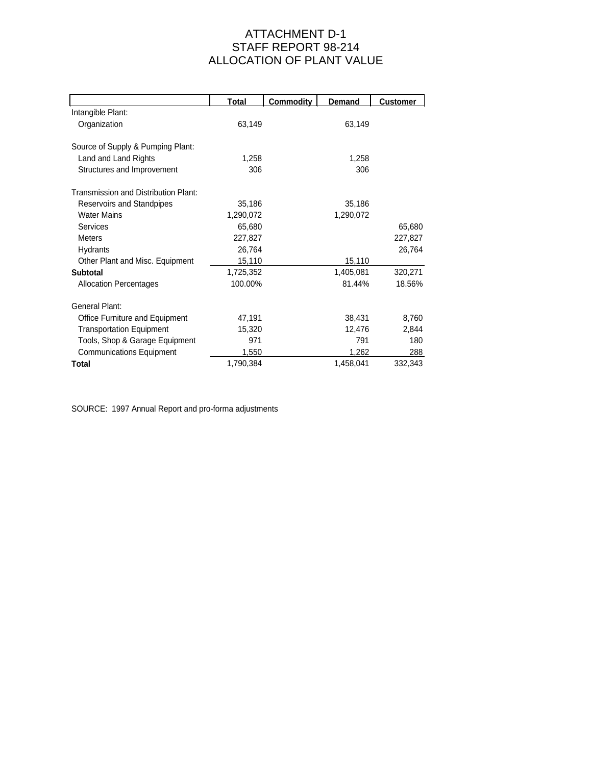## ATTACHMENT D-1 STAFF REPORT 98-214 ALLOCATION OF PLANT VALUE

|                                      | <u>Total</u> | <b>Commodity</b> | <b>Demand</b> | <b>Customer</b> |
|--------------------------------------|--------------|------------------|---------------|-----------------|
| Intangible Plant:                    |              |                  |               |                 |
| Organization                         | 63,149       |                  | 63,149        |                 |
|                                      |              |                  |               |                 |
| Source of Supply & Pumping Plant:    |              |                  |               |                 |
| Land and Land Rights                 | 1,258        |                  | 1,258         |                 |
| Structures and Improvement           | 306          |                  | 306           |                 |
| Transmission and Distribution Plant: |              |                  |               |                 |
| Reservoirs and Standpipes            | 35,186       |                  | 35,186        |                 |
| <b>Water Mains</b>                   | 1,290,072    |                  | 1,290,072     |                 |
| Services                             | 65,680       |                  |               | 65,680          |
| <b>Meters</b>                        | 227,827      |                  |               | 227,827         |
| <b>Hydrants</b>                      | 26,764       |                  |               | 26,764          |
| Other Plant and Misc. Equipment      | 15,110       |                  | 15,110        |                 |
| <b>Subtotal</b>                      | 1,725,352    |                  | 1,405,081     | 320,271         |
| <b>Allocation Percentages</b>        | 100.00%      |                  | 81.44%        | 18.56%          |
| General Plant:                       |              |                  |               |                 |
| Office Furniture and Equipment       | 47,191       |                  | 38,431        | 8,760           |
| <b>Transportation Equipment</b>      | 15,320       |                  | 12,476        | 2,844           |
| Tools, Shop & Garage Equipment       | 971          |                  | 791           | 180             |
| <b>Communications Equipment</b>      | 1,550        |                  | 1,262         | 288             |
| Total                                | 1,790,384    |                  | 1,458,041     | 332,343         |

SOURCE: 1997 Annual Report and pro-forma adjustments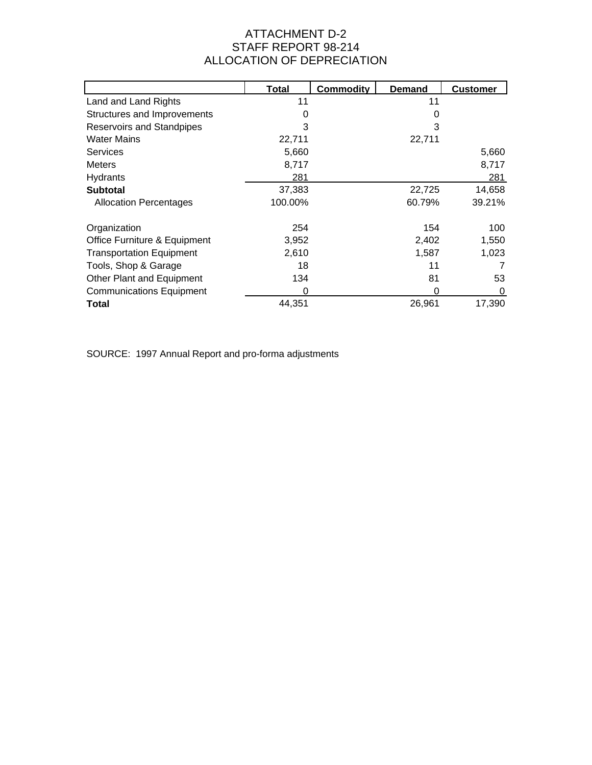# ATTACHMENT D-2 STAFF REPORT 98-214 ALLOCATION OF DEPRECIATION

|                                  | Total   | Commodity | <b>Demand</b> | <b>Customer</b> |
|----------------------------------|---------|-----------|---------------|-----------------|
| Land and Land Rights             | 11      |           | 11            |                 |
| Structures and Improvements      | 0       |           | 0             |                 |
| <b>Reservoirs and Standpipes</b> | 3       |           | 3             |                 |
| <b>Water Mains</b>               | 22,711  |           | 22,711        |                 |
| Services                         | 5,660   |           |               | 5,660           |
| <b>Meters</b>                    | 8,717   |           |               | 8,717           |
| <b>Hydrants</b>                  | 281     |           |               | 281             |
| <b>Subtotal</b>                  | 37,383  |           | 22,725        | 14,658          |
| <b>Allocation Percentages</b>    | 100.00% |           | 60.79%        | 39.21%          |
| Organization                     | 254     |           | 154           | 100             |
| Office Furniture & Equipment     | 3,952   |           | 2,402         | 1,550           |
| <b>Transportation Equipment</b>  | 2,610   |           | 1,587         | 1,023           |
| Tools, Shop & Garage             | 18      |           | 11            |                 |
| Other Plant and Equipment        | 134     |           | 81            | 53              |
| <b>Communications Equipment</b>  | 0       |           | 0             | 0               |
| Total                            | 44.351  |           | 26,961        | 17,390          |

SOURCE: 1997 Annual Report and pro-forma adjustments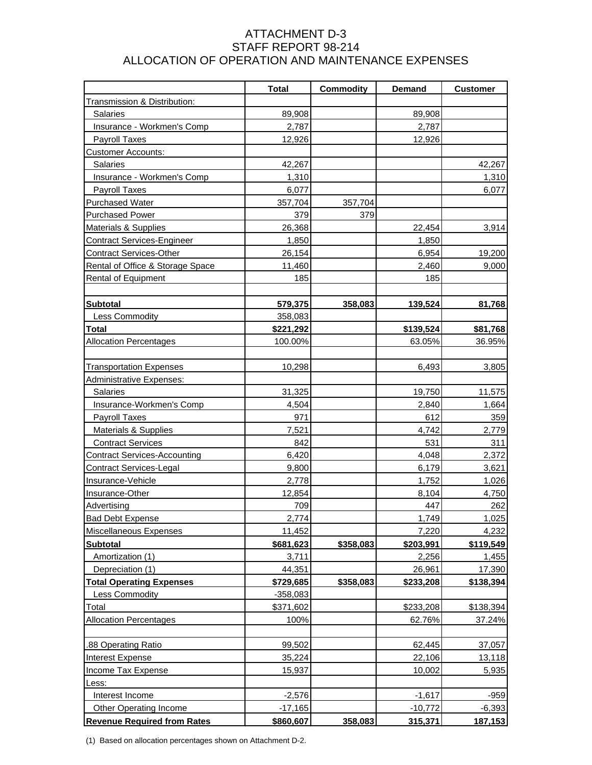## ATTACHMENT D-3 STAFF REPORT 98-214 ALLOCATION OF OPERATION AND MAINTENANCE EXPENSES

| Transmission & Distribution:<br>89,908<br>89,908<br><b>Salaries</b><br>Insurance - Workmen's Comp<br>2,787<br>2,787<br>12,926<br><b>Payroll Taxes</b><br>12,926<br><b>Customer Accounts:</b><br><b>Salaries</b><br>42,267<br>42,267<br>Insurance - Workmen's Comp<br>1,310<br>1,310<br><b>Payroll Taxes</b><br>6,077<br>6,077<br><b>Purchased Water</b><br>357,704<br>357,704<br><b>Purchased Power</b><br>379<br>379<br>26,368<br>Materials & Supplies<br>22,454<br>3,914<br><b>Contract Services-Engineer</b><br>1,850<br>1,850<br><b>Contract Services-Other</b><br>26,154<br>6,954<br>19,200<br>Rental of Office & Storage Space<br>11,460<br>2,460<br>9,000<br>185<br>185<br>Rental of Equipment<br><b>Subtotal</b><br>579,375<br>358,083<br>139,524<br>81,768<br>Less Commodity<br>358,083<br><b>Total</b><br>\$221,292<br>\$139,524<br>\$81,768 |
|--------------------------------------------------------------------------------------------------------------------------------------------------------------------------------------------------------------------------------------------------------------------------------------------------------------------------------------------------------------------------------------------------------------------------------------------------------------------------------------------------------------------------------------------------------------------------------------------------------------------------------------------------------------------------------------------------------------------------------------------------------------------------------------------------------------------------------------------------------|
|                                                                                                                                                                                                                                                                                                                                                                                                                                                                                                                                                                                                                                                                                                                                                                                                                                                        |
|                                                                                                                                                                                                                                                                                                                                                                                                                                                                                                                                                                                                                                                                                                                                                                                                                                                        |
|                                                                                                                                                                                                                                                                                                                                                                                                                                                                                                                                                                                                                                                                                                                                                                                                                                                        |
|                                                                                                                                                                                                                                                                                                                                                                                                                                                                                                                                                                                                                                                                                                                                                                                                                                                        |
|                                                                                                                                                                                                                                                                                                                                                                                                                                                                                                                                                                                                                                                                                                                                                                                                                                                        |
|                                                                                                                                                                                                                                                                                                                                                                                                                                                                                                                                                                                                                                                                                                                                                                                                                                                        |
|                                                                                                                                                                                                                                                                                                                                                                                                                                                                                                                                                                                                                                                                                                                                                                                                                                                        |
|                                                                                                                                                                                                                                                                                                                                                                                                                                                                                                                                                                                                                                                                                                                                                                                                                                                        |
|                                                                                                                                                                                                                                                                                                                                                                                                                                                                                                                                                                                                                                                                                                                                                                                                                                                        |
|                                                                                                                                                                                                                                                                                                                                                                                                                                                                                                                                                                                                                                                                                                                                                                                                                                                        |
|                                                                                                                                                                                                                                                                                                                                                                                                                                                                                                                                                                                                                                                                                                                                                                                                                                                        |
|                                                                                                                                                                                                                                                                                                                                                                                                                                                                                                                                                                                                                                                                                                                                                                                                                                                        |
|                                                                                                                                                                                                                                                                                                                                                                                                                                                                                                                                                                                                                                                                                                                                                                                                                                                        |
|                                                                                                                                                                                                                                                                                                                                                                                                                                                                                                                                                                                                                                                                                                                                                                                                                                                        |
|                                                                                                                                                                                                                                                                                                                                                                                                                                                                                                                                                                                                                                                                                                                                                                                                                                                        |
|                                                                                                                                                                                                                                                                                                                                                                                                                                                                                                                                                                                                                                                                                                                                                                                                                                                        |
|                                                                                                                                                                                                                                                                                                                                                                                                                                                                                                                                                                                                                                                                                                                                                                                                                                                        |
|                                                                                                                                                                                                                                                                                                                                                                                                                                                                                                                                                                                                                                                                                                                                                                                                                                                        |
|                                                                                                                                                                                                                                                                                                                                                                                                                                                                                                                                                                                                                                                                                                                                                                                                                                                        |
| <b>Allocation Percentages</b><br>100.00%<br>63.05%<br>36.95%                                                                                                                                                                                                                                                                                                                                                                                                                                                                                                                                                                                                                                                                                                                                                                                           |
|                                                                                                                                                                                                                                                                                                                                                                                                                                                                                                                                                                                                                                                                                                                                                                                                                                                        |
| 10,298<br>3,805<br><b>Transportation Expenses</b><br>6,493                                                                                                                                                                                                                                                                                                                                                                                                                                                                                                                                                                                                                                                                                                                                                                                             |
| Administrative Expenses:                                                                                                                                                                                                                                                                                                                                                                                                                                                                                                                                                                                                                                                                                                                                                                                                                               |
| <b>Salaries</b><br>31,325<br>19,750<br>11,575                                                                                                                                                                                                                                                                                                                                                                                                                                                                                                                                                                                                                                                                                                                                                                                                          |
| Insurance-Workmen's Comp<br>4,504<br>1,664<br>2,840                                                                                                                                                                                                                                                                                                                                                                                                                                                                                                                                                                                                                                                                                                                                                                                                    |
| 971<br>612<br><b>Payroll Taxes</b><br>359                                                                                                                                                                                                                                                                                                                                                                                                                                                                                                                                                                                                                                                                                                                                                                                                              |
| <b>Materials &amp; Supplies</b><br>7,521<br>4,742<br>2,779                                                                                                                                                                                                                                                                                                                                                                                                                                                                                                                                                                                                                                                                                                                                                                                             |
| <b>Contract Services</b><br>842<br>531<br>311                                                                                                                                                                                                                                                                                                                                                                                                                                                                                                                                                                                                                                                                                                                                                                                                          |
| <b>Contract Services-Accounting</b><br>6,420<br>4,048<br>2,372                                                                                                                                                                                                                                                                                                                                                                                                                                                                                                                                                                                                                                                                                                                                                                                         |
| <b>Contract Services-Legal</b><br>9,800<br>6,179<br>3,621                                                                                                                                                                                                                                                                                                                                                                                                                                                                                                                                                                                                                                                                                                                                                                                              |
| Insurance-Vehicle<br>2,778<br>1,026<br>1,752                                                                                                                                                                                                                                                                                                                                                                                                                                                                                                                                                                                                                                                                                                                                                                                                           |
| Insurance-Other<br>12,854<br>4,750<br>8,104                                                                                                                                                                                                                                                                                                                                                                                                                                                                                                                                                                                                                                                                                                                                                                                                            |
| 262<br>709<br>447<br>Advertising                                                                                                                                                                                                                                                                                                                                                                                                                                                                                                                                                                                                                                                                                                                                                                                                                       |
| 1,749<br><b>Bad Debt Expense</b><br>2,774<br>1,025                                                                                                                                                                                                                                                                                                                                                                                                                                                                                                                                                                                                                                                                                                                                                                                                     |
| 4,232<br>Miscellaneous Expenses<br>11,452<br>7,220                                                                                                                                                                                                                                                                                                                                                                                                                                                                                                                                                                                                                                                                                                                                                                                                     |
| <b>Subtotal</b><br>\$681,623<br>\$358,083<br>\$203,991<br>\$119,549                                                                                                                                                                                                                                                                                                                                                                                                                                                                                                                                                                                                                                                                                                                                                                                    |
| Amortization (1)<br>3,711<br>2,256<br>1,455                                                                                                                                                                                                                                                                                                                                                                                                                                                                                                                                                                                                                                                                                                                                                                                                            |
| Depreciation (1)<br>44,351<br>26,961<br>17,390                                                                                                                                                                                                                                                                                                                                                                                                                                                                                                                                                                                                                                                                                                                                                                                                         |
| <b>Total Operating Expenses</b><br>\$233,208<br>\$138,394<br>\$729,685<br>\$358,083                                                                                                                                                                                                                                                                                                                                                                                                                                                                                                                                                                                                                                                                                                                                                                    |
| Less Commodity<br>$-358,083$                                                                                                                                                                                                                                                                                                                                                                                                                                                                                                                                                                                                                                                                                                                                                                                                                           |
| Total<br>\$371,602<br>\$233,208<br>\$138,394                                                                                                                                                                                                                                                                                                                                                                                                                                                                                                                                                                                                                                                                                                                                                                                                           |
| <b>Allocation Percentages</b><br>100%<br>62.76%<br>37.24%                                                                                                                                                                                                                                                                                                                                                                                                                                                                                                                                                                                                                                                                                                                                                                                              |
|                                                                                                                                                                                                                                                                                                                                                                                                                                                                                                                                                                                                                                                                                                                                                                                                                                                        |
| 62,445<br>.88 Operating Ratio<br>99,502<br>37,057                                                                                                                                                                                                                                                                                                                                                                                                                                                                                                                                                                                                                                                                                                                                                                                                      |
| 22,106<br><b>Interest Expense</b><br>35,224<br>13,118                                                                                                                                                                                                                                                                                                                                                                                                                                                                                                                                                                                                                                                                                                                                                                                                  |
| Income Tax Expense<br>15,937<br>10,002<br>5,935                                                                                                                                                                                                                                                                                                                                                                                                                                                                                                                                                                                                                                                                                                                                                                                                        |
| Less:                                                                                                                                                                                                                                                                                                                                                                                                                                                                                                                                                                                                                                                                                                                                                                                                                                                  |
| Interest Income<br>$-959$<br>$-2,576$<br>$-1,617$                                                                                                                                                                                                                                                                                                                                                                                                                                                                                                                                                                                                                                                                                                                                                                                                      |
| Other Operating Income<br>$-17,165$<br>$-10,772$<br>$-6,393$                                                                                                                                                                                                                                                                                                                                                                                                                                                                                                                                                                                                                                                                                                                                                                                           |
| <b>Revenue Required from Rates</b><br>315,371<br>\$860,607<br>358,083<br>187,153                                                                                                                                                                                                                                                                                                                                                                                                                                                                                                                                                                                                                                                                                                                                                                       |

(1) Based on allocation percentages shown on Attachment D-2.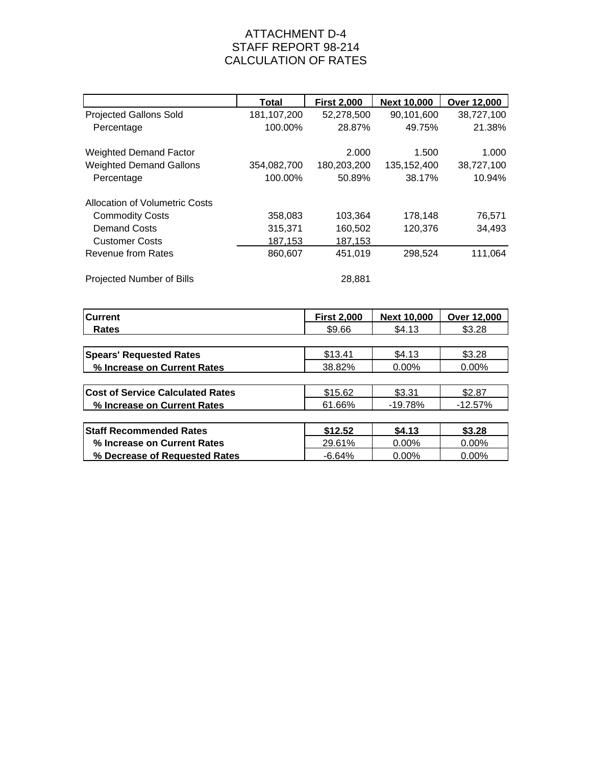## ATTACHMENT D-4 STAFF REPORT 98-214 CALCULATION OF RATES

|                                | <b>Total</b> | <b>First 2,000</b> | <b>Next 10,000</b> | Over 12,000 |
|--------------------------------|--------------|--------------------|--------------------|-------------|
| <b>Projected Gallons Sold</b>  | 181,107,200  | 52,278,500         | 90,101,600         | 38,727,100  |
| Percentage                     | 100.00%      | 28.87%             | 49.75%             | 21.38%      |
| <b>Weighted Demand Factor</b>  |              | 2.000              | 1.500              | 1.000       |
| <b>Weighted Demand Gallons</b> | 354,082,700  | 180,203,200        | 135, 152, 400      | 38,727,100  |
| Percentage                     | 100.00%      | 50.89%             | 38.17%             | 10.94%      |
| Allocation of Volumetric Costs |              |                    |                    |             |
| <b>Commodity Costs</b>         | 358,083      | 103,364            | 178,148            | 76,571      |
| <b>Demand Costs</b>            | 315,371      | 160,502            | 120,376            | 34,493      |
| <b>Customer Costs</b>          | 187,153      | 187,153            |                    |             |
| Revenue from Rates             | 860,607      | 451,019            | 298,524            | 111,064     |
| Projected Number of Bills      |              | 28,881             |                    |             |

| <b>Current</b>                          | <b>First 2,000</b> | <b>Next 10,000</b> | Over 12,000 |
|-----------------------------------------|--------------------|--------------------|-------------|
| Rates                                   | \$9.66             | \$4.13             | \$3.28      |
|                                         |                    |                    |             |
| <b>Spears' Requested Rates</b>          | \$13.41            | \$4.13             | \$3.28      |
| % Increase on Current Rates             | 38.82%             | 0.00%              | 0.00%       |
|                                         |                    |                    |             |
| <b>Cost of Service Calculated Rates</b> | \$15.62            | \$3.31             | \$2.87      |
| % Increase on Current Rates             | 61.66%             | $-19.78%$          | $-12.57%$   |
|                                         |                    |                    |             |
| <b>Staff Recommended Rates</b>          | \$12.52            | \$4.13             | \$3.28      |
| % Increase on Current Rates             | 29.61%             | $0.00\%$           | $0.00\%$    |
| % Decrease of Requested Rates           | $-6.64%$           | 0.00%              | 0.00%       |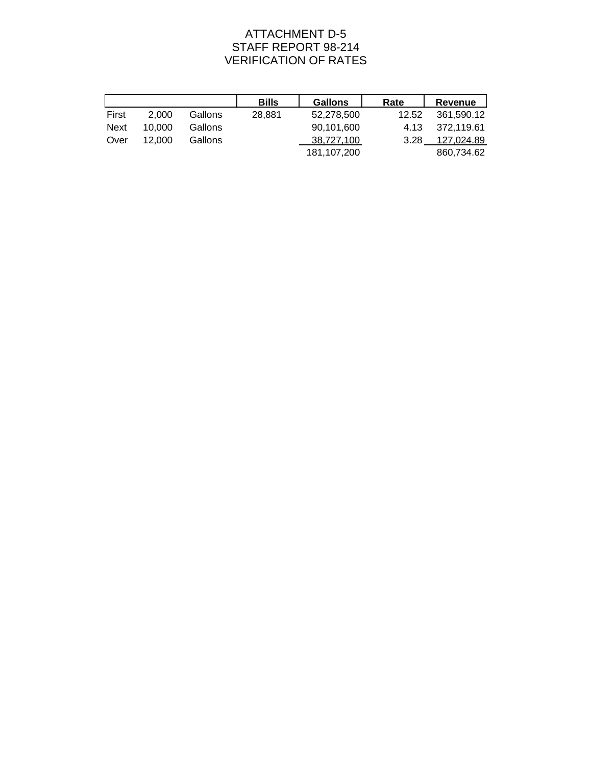# ATTACHMENT D-5 STAFF REPORT 98-214 VERIFICATION OF RATES

|             |        |         | <b>Bills</b> | <b>Gallons</b> | Rate  | Revenue    |
|-------------|--------|---------|--------------|----------------|-------|------------|
| First       | 2.000  | Gallons | 28.881       | 52.278.500     | 12.52 | 361.590.12 |
| <b>Next</b> | 10.000 | Gallons |              | 90.101.600     | 4.13  | 372.119.61 |
| Over        | 12.000 | Gallons |              | 38.727.100     | 3.28  | 127.024.89 |
|             |        |         |              | 181,107,200    |       | 860,734.62 |